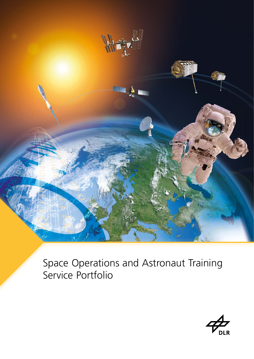

[Space Operations and Astronaut Training](#page-2-0)  Service Portfolio

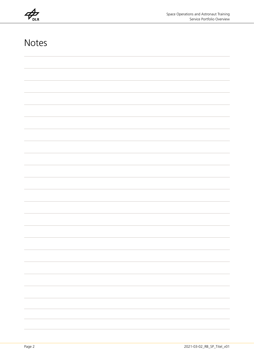**DLR** 

## Notes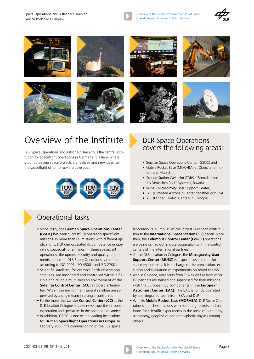

Overview of the Service Portfolio Modules of Space Operations and Astronaut Training Services



<span id="page-2-0"></span>













# Overview of the Institute

DLR Space Operations and Astronaut Training is the central institution for spaceflight operations in Germany. It is here, where groundbreaking space projects are realized and new ideas for the spaceflight of tomorrow are developed.



#### DLR Space Operations covers the following areas:

- German Space Operations Center (GSOC) and
- Mobile Rocket Base (MORABA) at Oberpfaffenhofen near Munich
- Ground Station Weilheim (ZDBS Zentralstation des Deutschen Bodensystems), Bavaria
- MUSC (Microgravity User Support Center)
- EAC (European Astronaut Center) together with ESA
- LCC (Lander Control Center) in Cologne

### Operational tasks

- Since 1969, the **German Space Operations Center (GSOC)** has been successfully operating spaceflight missions. In more than 60 missions with different applications, DLR demonstrated its competence in operating spacecraft of all kinds. In these spacecraft operations, the upmost security and quality requirements are taken. DLR Space Operations is certified according to ISO 9001, ISO 45001 and ISO 27001.
- Scientific satellites, for example Earth observation satellites, are monitored and controlled within a flexible and reliable multi-mission environment of the **Satellite Control Center (SCC)** at Oberpfaffenhofen. Within this environment several satellites are supervised by a single team in a single control room.
- Furthermore, the **Lander Control Center (LCC)** at the DLR location Cologne has extensive expertise in robotic exploration and specializes in the operation of landers.
- In addition, GSOC is one of the leading institutions for **Human Spaceflight Operations in Europe**. In February 2008, the commissioning of the ESA space

laboratory "Columbus" as the largest European contribution to the **International Space Station (ISS)** began. Since then, the **Columbus Control Center (Col-CC)** operations are being carried out in close cooperation with the control centers of the international partners.

- At the DLR location in Cologne, the **Microgravity User Support Center (MUSC)** is a specific user center for space experiments. It is in charge of the preparation, execution and evaluation of experiments on board the ISS.
- Also in Cologne, astronauts from ESA as well as from other ISS partners are trained and supervised for their missions with the European ISS components in the **European Astronaut Center (EAC)**. The EAC is jointly operated by an integrated team from ESA and DLR.
- With its **Mobile Rocket Base (MORABA)**, DLR Space Operations launches missions with sounding rockets and balloons for scientific experiments in the areas of aeronomy, astronomy, geophysics and atmospheric physics among others.